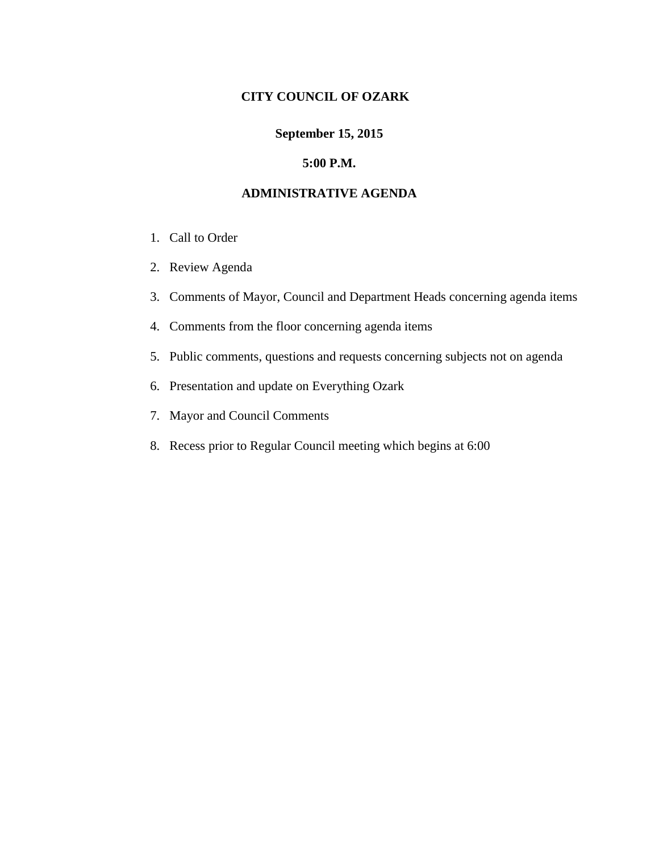## **CITY COUNCIL OF OZARK**

## **September 15, 2015**

#### **5:00 P.M.**

## **ADMINISTRATIVE AGENDA**

- 1. Call to Order
- 2. Review Agenda
- 3. Comments of Mayor, Council and Department Heads concerning agenda items
- 4. Comments from the floor concerning agenda items
- 5. Public comments, questions and requests concerning subjects not on agenda
- 6. Presentation and update on Everything Ozark
- 7. Mayor and Council Comments
- 8. Recess prior to Regular Council meeting which begins at 6:00